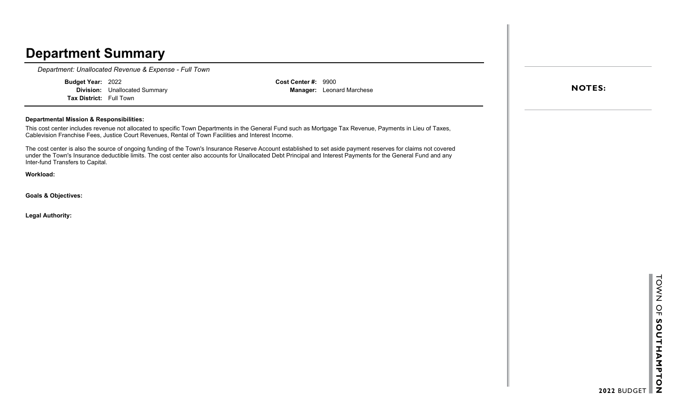*Department: Unallocated Revenue & Expense - Full Town*

**Budget Year:** 2022 **Division:** Unallocated Summary

**Tax District:** Full Town

**Cost Center #:** 9900 **Manager:** Leonard Marchese

#### **Departmental Mission & Responsibilities:**

This cost center includes revenue not allocated to specific Town Departments in the General Fund such as Mortgage Tax Revenue, Payments in Lieu of Taxes, Cablevision Franchise Fees, Justice Court Revenues, Rental of Town Facilities and Interest Income.

The cost center is also the source of ongoing funding of the Town's Insurance Reserve Account established to set aside payment reserves for claims not covered under the Town's Insurance deductible limits. The cost center also accounts for Unallocated Debt Principal and Interest Payments for the General Fund and any Inter-fund Transfers to Capital.

**Workload:**

**Goals & Objectives:**

**Legal Authority:**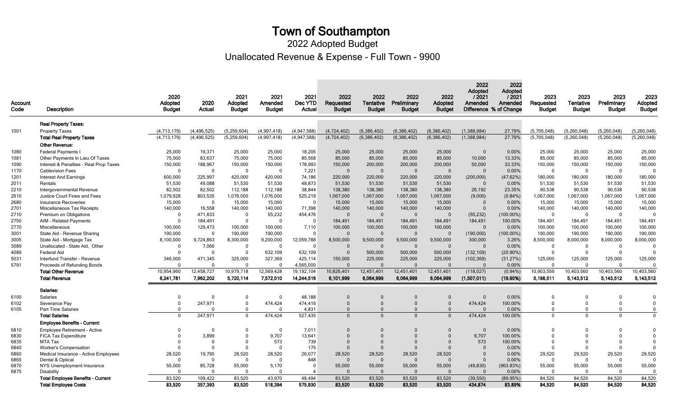Unallocated Revenue & Expense - Full Town - 9900 2022 Adopted Budget

| Account |                                          | 2020<br>Adopted | 2020          | 2021<br>Adopted | 2021<br>Amended | 2021<br>Dec YTD | 2022<br>Requested | 2022<br>Tentative | 2022<br>Preliminary | 2022<br>Adopted | 2022<br>Adopted<br>/2021<br>Amended | 2022<br><b>Adopted</b><br>/2021<br>Amended | 2023<br>Requested | 2023<br><b>Tentative</b> | 2023<br>Preliminary | 2023<br>Adopted |
|---------|------------------------------------------|-----------------|---------------|-----------------|-----------------|-----------------|-------------------|-------------------|---------------------|-----------------|-------------------------------------|--------------------------------------------|-------------------|--------------------------|---------------------|-----------------|
| Code    | Description                              | <b>Budget</b>   | Actual        | <b>Budget</b>   | <b>Budget</b>   | Actual          | <b>Budget</b>     | <b>Budget</b>     | <b>Budget</b>       | <b>Budget</b>   | Difference % of Change              |                                            | <b>Budget</b>     | <b>Budget</b>            | <b>Budget</b>       | <b>Budget</b>   |
|         | <b>Real Property Taxes:</b>              |                 |               |                 |                 |                 |                   |                   |                     |                 |                                     |                                            |                   |                          |                     |                 |
| 1001    | <b>Property Taxes</b>                    | (4.713.179)     | (4,496,525)   | (5,259,604)     | (4,997,418)     | (4,947,588)     | (4,724,402)       | (6,386,402)       | (6,386,402)         | (6,386,402)     | (1,388,984)                         | 27.79%                                     | (5,705,048)       | (5,260,048)              | (5,260,048)         | (5, 260, 048)   |
|         | <b>Total Real Property Taxes</b>         | (4, 713, 179)   | (4, 496, 525) | (5,259,604)     | (4,997,418)     | (4,947,588)     | (4,724,402)       | (6,386,402)       | (6,386,402)         | (6,386,402)     | (1,388,984)                         | 27.79%                                     | (5,705,048)       | (5,260,048)              | (5,260,048)         | (5,260,048)     |
|         | <b>Other Revenue:</b>                    |                 |               |                 |                 |                 |                   |                   |                     |                 |                                     |                                            |                   |                          |                     |                 |
| 1080    | <b>Federal Payments I</b>                | 25,000          | 19.371        | 25.000          | 25.000          | 18,205          | 25,000            | 25,000            | 25.000              | 25,000          | $\overline{0}$                      | 0.00%                                      | 25.000            | 25.000                   | 25.000              | 25.000          |
| 1081    | Other Payments In Lieu Of Taxes          | 75,000          | 83,637        | 75,000          | 75,000          | 85,568          | 85,000            | 85,000            | 85,000              | 85,000          | 10,000                              | 13.33%                                     | 85,000            | 85,000                   | 85,000              | 85,000          |
| 1090    | Interest & Penalties - Real Prop Taxes   | 150,000         | 188,967       | 150,000         | 150,000         | 178,993         | 150,000           | 200,000           | 200,000             | 200,000         | 50,000                              | 33.33%                                     | 150,000           | 150,000                  | 150,000             | 150,000         |
| 1170    | <b>Cablevision Fees</b>                  | $\Omega$        | $\Omega$      | $\Omega$        | $\mathbf 0$     | 7,221           | $\Omega$          | $\Omega$          | $\Omega$            | $\overline{0}$  | $\overline{0}$                      | 0.00%                                      | $\Omega$          | $\Omega$                 | $\mathbf 0$         | $\Omega$        |
| 1201    | <b>Interest And Earnings</b>             | 600,000         | 225,997       | 420,000         | 420,000         | 74,186          | 220,000           | 220,000           | 220,000             | 220,000         | (200,000)                           | (47.62%)                                   | 180,000           | 180,000                  | 180,000             | 180,000         |
| 2011    | Rentals                                  | 51,530          | 49,088        | 51.530          | 51,530          | 48,873          | 51,530            | 51,530            | 51,530              | 51,530          | $\Omega$                            | 0.00%                                      | 51,530            | 51.530                   | 51,530              | 51,530          |
| 2210    | Intergovernmental Revenue                | 82,502          | 82,502        | 112,188         | 112,188         | 38,844          | 138,380           | 138,380           | 138,380             | 138,380         | 26,192                              | 23.35%                                     | 90,538            | 90,538                   | 90,538              | 90,538          |
| 2610    | Justice Court Fines and Fees             | 1,079,928       | 803,535       | 1,076,000       | 1,076,000       | 525,219         | 1,067,000         | 1,067,000         | 1,067,000           | 1,067,000       | (9,000)                             | $(0.84\%)$                                 | 1,067,000         | 1,067,000                | 1,067,000           | 1,067,000       |
| 2680    | Insurance Recoveries                     | 15,000          | $\Omega$      | 15,000          | 15,000          | $\Omega$        | 15,000            | 15,000            | 15,000              | 15,000          | $\Omega$                            | 0.00%                                      | 15,000            | 15,000                   | 15,000              | 15,000          |
| 2701    | Miscellaneous Tax Receipts               | 140,000         | 16,558        | 140,000         | 140,000         | 71,398          | 140,000           | 140,000           | 140,000             | 140,000         | $\overline{0}$                      | 0.00%                                      | 140,000           | 140,000                  | 140,000             | 140,000         |
| 2710    | Premium on Obligations                   | $\Omega$        | 471.833       | $\Omega$        | 55,232          | 454,476         | $\Omega$          | $\Omega$          | $\Omega$            | $\Omega$        | (55, 232)                           | $(100.00\%)$                               | $\Omega$          | $\Omega$                 | $\mathbf 0$         | $\Omega$        |
| 2750    | AIM - Related Payments                   | $\Omega$        | 184,491       | $\Omega$        | $\Omega$        | $\Omega$        | 184,491           | 184,491           | 184,491             | 184,491         | 184,491                             | 100.00%                                    | 184,491           | 184,491                  | 184,491             | 184,491         |
| 2770    | Miscellaneous                            | 100,000         | 129,473       | 100,000         | 100,000         | 7,110           | 100,000           | 100,000           | 100,000             | 100,000         | $\Omega$                            | 0.00%                                      | 100,000           | 100,000                  | 100,000             | 100,000         |
| 3001    | State Aid - Revenue Sharing              | 190,000         | $\Omega$      | 190,000         | 190,000         | $\Omega$        | $\Omega$          | $\Omega$          | $\Omega$            | $\overline{0}$  | (190,000)                           | $(100.00\%)$                               | 190,000           | 190,000                  | 190,000             | 190,000         |
| 3005    | State Aid - Mortgage Tax                 | 8,100,000       | 9,724,863     | 8,300,000       | 9,200,000       | 12,059,788      | 8,500,000         | 9,500,000         | 9,500,000           | 9,500,000       | 300,000                             | 3.26%                                      | 8,500,000         | 8,000,000                | 8,000,000           | 8,000,000       |
| 3089    | Unallocated - State Aid, Other           | $\mathbf 0$     | 7,066         | $\Omega$        | $\Omega$        | $\Omega$        | $\Omega$          | $\Omega$          | $\Omega$            | $\overline{0}$  | $\Omega$                            | 0.00%                                      | $\Omega$          | $\Omega$                 | $\mathbf 0$         |                 |
| 4089    | Federal Aid                              | $\Omega$        | $\Omega$      | $\Omega$        | 632,109         | 632,109         | $\Omega$          | 500,000           | 500,000             | 500,000         | (132, 109)                          | $(20.90\%)$                                | $\Omega$          | $\mathbf 0$              | $\mathbf 0$         |                 |
| 5031    | Interfund Transfer - Revenue             | 346.000         | 471.345       | 325,000         | 327,369         | 425,114         | 150,000           | 225.000           | 225.000             | 225.000         | (102, 369)                          | (31.27%)                                   | 125,000           | 125,000                  | 125,000             | 125,000         |
| 5791    | Proceeds of Refunding Bonds              | $\Omega$        | $\Omega$      | $\Omega$        | $\Omega$        | 4,565,000       | $\Omega$          | $\Omega$          | $\Omega$            | $\Omega$        | $\Omega$                            | 0.00%                                      | $\Omega$          | $\Omega$                 | $\mathbf 0$         | $\Omega$        |
|         | <b>Total Other Revenue</b>               | 10,954,960      | 12,458,727    | 10,979,718      | 12,569,428      | 19, 192, 104    | 10,826,401        | 12,451,401        | 12,451,401          | 12,451,401      | (118, 027)                          | $(0.94\%)$                                 | 10,903,559        | 10,403,560               | 10,403,560          | 10,403,560      |
|         | <b>Total Revenue</b>                     | 6,241,781       | 7.962.202     | 5.720 114       | 7.572.010       | 14,244,516      | 6,101,999         | 6,064,999         | 6,064,999           | 6,064,999       | (1,507,011)                         | $(19.90\%)$                                | 5,198,511         | 5,143,512                | 5,143,512           | 5, 143, 512     |
|         | Salaries:                                |                 |               |                 |                 |                 |                   |                   |                     |                 |                                     |                                            |                   |                          |                     |                 |
| 6100    | Salaries                                 | $\mathbf 0$     | $\Omega$      | $\Omega$        | $\Omega$        | 48,188          | $\Omega$          | $\Omega$          |                     | $\Omega$        | $\Omega$                            | 0.00%                                      | $\Omega$          | $\Omega$                 | $\Omega$            | $\Omega$        |
| 6102    | Severance Pay                            | $\mathbf 0$     | 247,971       | $\mathbf{0}$    | 474,424         | 474,416         | $\Omega$          | $\Omega$          | $\Omega$            | $\overline{0}$  | 474,424                             | 100.00%                                    | $\Omega$          | $\mathbf{0}$             | $\mathbf 0$         | $\Omega$        |
| 6105    | <b>Part Time Salaries</b>                | $\Omega$        | $\Omega$      | $\Omega$        | $\Omega$        | 4,831           | $\Omega$          | $\Omega$          |                     | $\Omega$        | $\Omega$                            | 0.00%                                      | $\Omega$          | $\Omega$                 | $\mathbf 0$         | $\mathbf{0}$    |
|         | <b>Total Salaries</b>                    | $\Omega$        | 247,971       | $\Omega$        | 474,424         | 527,435         | $\Omega$          | $\Omega$          | $\Omega$            | $\overline{0}$  | 474,424                             | 100.00%                                    | $\Omega$          | $\Omega$                 | $\mathbf{0}$        | $\Omega$        |
|         | <b>Employee Benefits - Current:</b>      |                 |               |                 |                 |                 |                   |                   |                     |                 |                                     |                                            |                   |                          |                     |                 |
| 6810    | <b>Employee Retirement - Active</b>      | $\Omega$        | $\Omega$      |                 | $\Omega$        | 7,011           | $\Omega$          | $\Omega$          | $\Omega$            | $\Omega$        | $\overline{0}$                      | 0.00%                                      | $\Omega$          | $\Omega$                 | $\Omega$            | $\Omega$        |
| 6830    | FICA Tax Expenditure                     | $\Omega$        | 3,899         |                 | 9,707           | 13,641          | $\Omega$          | $\Omega$          | $\Omega$            | $\Omega$        | 9,707                               | 100.00%                                    | $\Omega$          | $\Omega$                 | $\Omega$            | $\Omega$        |
| 6835    | MTA Tax                                  | $\Omega$        | $\Omega$      |                 | 573             | 739             | $\Omega$          | $\Omega$          | $\Omega$            | $\Omega$        | 573                                 | 100.00%                                    | $\Omega$          | $\Omega$                 | $\Omega$            | $\Omega$        |
| 6840    | <b>Worker's Compensation</b>             | $\Omega$        | $\Omega$      | $\Omega$        | $\mathbf 0$     | 175             | $\Omega$          | $\Omega$          | $\Omega$            | $\overline{0}$  | $\overline{0}$                      | 0.00%                                      | $\Omega$          | $\mathbf 0$              | $\Omega$            | $\Omega$        |
| 6860    | Medical Insurance - Active Employees     | 28.520          | 19.795        | 28.520          | 28.520          | 26.077          | 28,520            | 28,520            | 28,520              | 28.520          | $\Omega$                            | 0.00%                                      | 29.520            | 29.520                   | 29.520              | 29,520          |
| 6865    | Dental & Optical                         | $\mathbf{0}$    | $\Omega$      | $\Omega$        | $\Omega$        | 848             | $\Omega$          | $\Omega$          | $\Omega$            | $\Omega$        | $\Omega$                            | 0.00%                                      | $\Omega$          | $\mathbf 0$              | $\overline{0}$      | $\Omega$        |
| 6870    | NYS Unemployment Insurance               | 55,000          | 85,728        | 55,000          | 5,170           | $\Omega$        | 55,000            | 55,000            | 55,000              | 55,000          | (49, 830)                           | (963.83%)                                  | 55,000            | 55,000                   | 55,000              | 55,000          |
| 6875    | Disability                               | $\Omega$        | $\Omega$      | $\Omega$        | $\Omega$        | $\overline{A}$  | $\Omega$          | $\Omega$          | $\Omega$            | $\overline{0}$  | $\Omega$                            | 0.00%                                      | $\Omega$          | $\Omega$                 | $\Omega$            | $\Omega$        |
|         | <b>Total Employee Benefits - Current</b> | 83,520          | 109,422       | 83,520          | 43,970          | 48,494          | 83,520            | 83,520            | 83,520              | 83,520          | (39, 550)                           | (89.95%)                                   | 84,520            | 84,520                   | 84,520              | 84,520          |
|         | <b>Total Employee Costs</b>              | 83.520          | 357.393       | 83.520          | 518,394         | 575,930         | 83.520            | 83.520            | 83.520              | 83.520          | 434,874                             | 83.89%                                     | 84.520            | 84.520                   | 84.520              | 84.520          |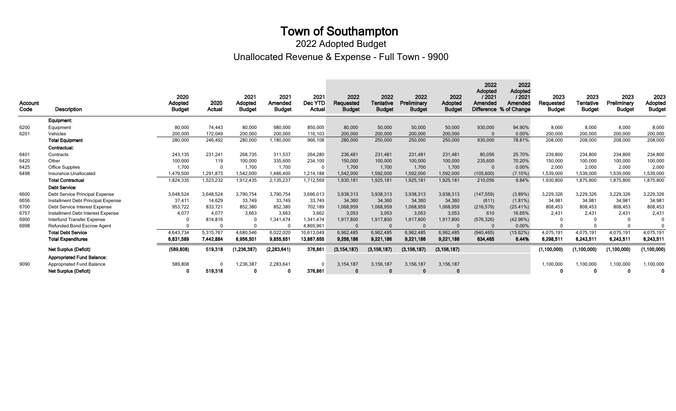### Unallocated Revenue & Expense - Full Town - 9900 2022 Adopted Budget

| Account<br>Code | <b>Description</b>                 | 2020<br>Adopted<br><b>Budget</b> | 2020<br>Actual | 2021<br>Adopted<br><b>Budget</b> | 2021<br>Amended<br><b>Budget</b> | 2021<br>Dec YTD<br>Actual | 2022<br>Requested<br><b>Budget</b> | 2022<br>Tentative<br><b>Budget</b> | 2022<br>Preliminary<br><b>Budget</b> | 2022<br><b>Adopted</b><br><b>Budget</b> | 2022<br>Adopted<br>/2021<br>Amended | 2022<br><b>Adopted</b><br>/2021<br>Amended<br>Difference % of Change | 2023<br>Requested<br><b>Budget</b> | 2023<br>Tentative<br><b>Budget</b> | 2023<br>Preliminary<br><b>Budget</b> | 2023<br>Adopted<br><b>Budget</b> |
|-----------------|------------------------------------|----------------------------------|----------------|----------------------------------|----------------------------------|---------------------------|------------------------------------|------------------------------------|--------------------------------------|-----------------------------------------|-------------------------------------|----------------------------------------------------------------------|------------------------------------|------------------------------------|--------------------------------------|----------------------------------|
|                 | Equipment:                         |                                  |                |                                  |                                  |                           |                                    |                                    |                                      |                                         |                                     |                                                                      |                                    |                                    |                                      |                                  |
| 6200            | Equipment                          | 80,000                           | 74.443         | 80,000                           | 980,000                          | 850,005                   | 80,000                             | 50,000                             | 50,000                               | 50,000                                  | 930,000                             | 94.90%                                                               | 8.000                              | 8,000                              | 8,000                                | 8,000                            |
| 6201            | Vehicles                           | 200,000                          | 172.049        | 200,000                          | 200,000                          | 116,103                   | 200,000                            | 200,000                            | 200,000                              | 200,000                                 | $\Omega$                            | 0.00%                                                                | 200,000                            | 200,000                            | 200,000                              | 200,000                          |
|                 | <b>Total Equipment</b>             | 280,000                          | 246,492        | 280,000                          | 1,180,000                        | 966,108                   | 280,000                            | 250,000                            | 250,000                              | 250,000                                 | 930,000                             | 78.81%                                                               | 208,000                            | 208,000                            | 208,000                              | 208,000                          |
|                 | Contractual:                       |                                  |                |                                  |                                  |                           |                                    |                                    |                                      |                                         |                                     |                                                                      |                                    |                                    |                                      |                                  |
| 6401            | Contracts                          | 243,135                          | 231,241        | 268.735                          | 311,537                          | 264,280                   | 236,481                            | 231,481                            | 231,481                              | 231,481                                 | 80,056                              | 25.70%                                                               | 239,800                            | 234,800                            | 234,800                              | 234,800                          |
| 6420            | Other                              | 100,000                          | 119            | 100,000                          | 335,600                          | 234,100                   | 150,000                            | 100,000                            | 100,000                              | 100,000                                 | 235,600                             | 70.20%                                                               | 150,000                            | 100,000                            | 100,000                              | 100,000                          |
| 6425            | <b>Office Supplies</b>             | 1.700                            |                | 1.700                            | 1.700                            |                           | 1,700                              | 1,700                              | 1.700                                | 1,700                                   |                                     | 0.00%                                                                | 2,000                              | 2.000                              | 2,000                                | 2,000                            |
| 6498            | Insurance-Unallocated              | 1,479,500                        | 1,291,873      | 1,542,000                        | 1,486,400                        | 1,214,188                 | 1,542,000                          | 1,592,000                          | 1,592,000                            | 1,592,000                               | (105, 600)                          | $(7.10\%)$                                                           | 1,539,000                          | 1,539,000                          | 1,539,000                            | 1,539,000                        |
|                 | <b>Total Contractual</b>           | 1,824,335                        | 1,523,232      | 1,912,435                        | 2,135,237                        | 1,712,569                 | 1,930,181                          | 1,925,181                          | 1,925,181                            | 1,925,181                               | 210,056                             | 9.84%                                                                | 1,930,800                          | 1,875,800                          | 1,875,800                            | 1,875,800                        |
|                 | <b>Debt Service:</b>               |                                  |                |                                  |                                  |                           |                                    |                                    |                                      |                                         |                                     |                                                                      |                                    |                                    |                                      |                                  |
| 6600            | Debt Service Principal Expense     | 3,648,524                        | 3,648,524      | 3,790,754                        | 3,790,754                        | 3,666,013                 | 3,938,313                          | 3,938,313                          | 3,938,313                            | 3,938,313                               | (147, 559)                          | (3.89%)                                                              | 3,229,326                          | 3,229,326                          | 3,229,326                            | 3,229,326                        |
| 6656            | Installment Debt Principal Expense | 37,411                           | 14,629         | 33,749                           | 33,749                           | 33,749                    | 34,360                             | 34,360                             | 34,360                               | 34,360                                  | (611)                               | $(1.81\%)$                                                           | 34,981                             | 34,981                             | 34,981                               | 34,981                           |
| 6700            | Debt Service Interest Expense      | 953.722                          | 833,721        | 852,380                          | 852,380                          | 702,189                   | 1,068,959                          | 1,068,959                          | 1,068,959                            | 1,068,959                               | (216, 579)                          | $(25.41\%)$                                                          | 808,453                            | 808.453                            | 808,453                              | 808,453                          |
| 6757            | Installment Debt Interest Expense  | 4.077                            | 4.077          | 3.663                            | 3.663                            | 3,662                     | 3,053                              | 3,053                              | 3,053                                | 3,053                                   | 610                                 | 16.65%                                                               | 2.431                              | 2.431                              | 2,431                                | 2,431                            |
| 6900            | Interfund Transfer Expense         |                                  | 814,816        |                                  | 1,341,474                        | 1,341,474                 | 1,917,800                          | 1,917,800                          | 1,917,800                            | 1,917,800                               | (576, 326)                          | (42.96%)                                                             |                                    |                                    |                                      |                                  |
| 6998            | Refunded Bond Escrow Agent         |                                  |                |                                  | $\Omega$                         | 4,865,961                 | $\Omega$                           |                                    |                                      |                                         |                                     | 0.00%                                                                |                                    |                                    |                                      |                                  |
|                 | <b>Total Debt Service</b>          | 4,643,734                        | 5,315,767      | 4,680,546                        | 6,022,020                        | 10,613,049                | 6,962,485                          | 6,962,485                          | 6,962,485                            | 6,962,485                               | (940, 465)                          | (15.62%)                                                             | 4,075,191                          | 4,075,191                          | 4,075,191                            | 4,075,191                        |
|                 | <b>Total Expenditures</b>          | 6,831,589                        | 7,442,884      | 6,956,501                        | 9,855,651                        | 13,867,655                | 9,256,186                          | 9,221,186                          | 9,221,186                            | 9,221,186                               | 634,465                             | 6.44%                                                                | 6,298,511                          | 6,243,511                          | 6,243,511                            | 6,243,511                        |
|                 | <b>Net Surplus (Deficit)</b>       | (589, 808)                       | 519,318        | (1, 236, 387)                    | (2, 283, 641)                    | 376,861                   | (3, 154, 187)                      | (3, 156, 187)                      | (3, 156, 187)                        | (3, 156, 187)                           |                                     |                                                                      | (1, 100, 000)                      | (1, 100, 000)                      | (1,100,000)                          | (1, 100, 000)                    |
|                 | <b>Appropriated Fund Balance:</b>  |                                  |                |                                  |                                  |                           |                                    |                                    |                                      |                                         |                                     |                                                                      |                                    |                                    |                                      |                                  |
| 9090            | <b>Appropriated Fund Balance</b>   | 589.808                          |                | 1.236.387                        | 2,283,641                        |                           | 3.154.187                          | 3,156,187                          | 3.156.187                            | 3,156,187                               |                                     |                                                                      | 1,100,000                          | 1,100,000                          | 1,100,000                            | 1,100,000                        |
|                 | Net Surplus (Deficit)              |                                  | 519.318        |                                  | 0                                | 376,861                   | $\Omega$                           |                                    |                                      |                                         |                                     |                                                                      |                                    |                                    |                                      | 0                                |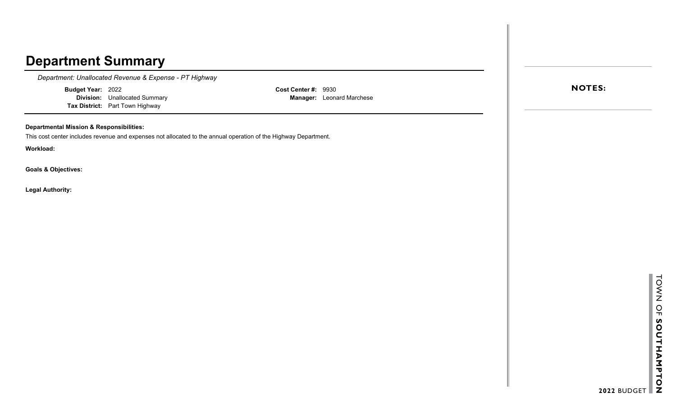*Department: Unallocated Revenue & Expense - PT Highway*

**Budget Year:** 2022

**Division:** Unallocated Summary **Tax District:** Part Town Highway

**Cost Center #:** 9930 **Manager:** Leonard Marchese

### **Departmental Mission & Responsibilities:**

This cost center includes revenue and expenses not allocated to the annual operation of the Highway Department.

**Workload:**

**Goals & Objectives:**

**Legal Authority:**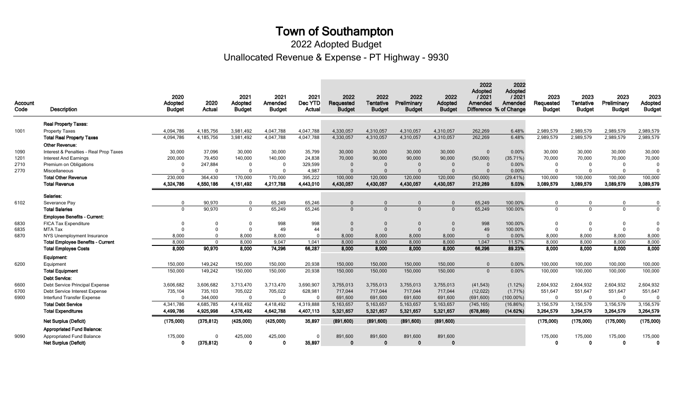Unallocated Revenue & Expense - PT Highway - 9930 2022 Adopted Budget

| Account<br>Code | <b>Description</b>                       | 2020<br>Adopted<br><b>Budget</b> | 2020<br>Actual | 2021<br>Adopted<br><b>Budget</b> | 2021<br>Amended<br><b>Budget</b> | 2021<br>Dec YTD<br>Actual | 2022<br>Requested<br><b>Budget</b> | 2022<br><b>Tentative</b><br><b>Budget</b> | 2022<br>Preliminary<br><b>Budget</b> | 2022<br>Adopted<br><b>Budget</b> | 2022<br>Adopted<br>12021<br>Amended | 2022<br>Adopted<br>12021<br>Amended<br>Difference % of Change | 2023<br>Requested<br><b>Budget</b> | 2023<br><b>Tentative</b><br><b>Budget</b> | 2023<br>Preliminary<br><b>Budget</b> | 2023<br>Adopted<br><b>Budget</b> |
|-----------------|------------------------------------------|----------------------------------|----------------|----------------------------------|----------------------------------|---------------------------|------------------------------------|-------------------------------------------|--------------------------------------|----------------------------------|-------------------------------------|---------------------------------------------------------------|------------------------------------|-------------------------------------------|--------------------------------------|----------------------------------|
|                 | <b>Real Property Taxes:</b>              |                                  |                |                                  |                                  |                           |                                    |                                           |                                      |                                  |                                     |                                                               |                                    |                                           |                                      |                                  |
| 1001            | <b>Property Taxes</b>                    | 4,094,786                        | 4,185,756      | 3,981,492                        | 4,047,788                        | 4,047,788                 | 4,330,057                          | 4,310,057                                 | 4,310,057                            | 4,310,057                        | 262,269                             | 6.48%                                                         | 2,989,579                          | 2,989,579                                 | 2,989,579                            | 2,989,579                        |
|                 | <b>Total Real Property Taxes</b>         | 4,094,786                        | 4,185,756      | 3,981,492                        | 4,047,788                        | 4,047,788                 | 4,330,057                          | 4,310,057                                 | 4,310,057                            | 4,310,057                        | 262,269                             | 6.48%                                                         | 2,989,579                          | 2,989,579                                 | 2,989,579                            | 2,989,579                        |
|                 | <b>Other Revenue:</b>                    |                                  |                |                                  |                                  |                           |                                    |                                           |                                      |                                  |                                     |                                                               |                                    |                                           |                                      |                                  |
| 1090            | Interest & Penalties - Real Prop Taxes   | 30,000                           | 37,096         | 30,000                           | 30,000                           | 35,799                    | 30,000                             | 30,000                                    | 30,000                               | 30,000                           | $\Omega$                            | 0.00%                                                         | 30,000                             | 30,000                                    | 30,000                               | 30,000                           |
| 1201            | <b>Interest And Earnings</b>             | 200,000                          | 79,450         | 140,000                          | 140,000                          | 24,838                    | 70,000                             | 90,000                                    | 90,000                               | 90,000                           | (50,000)                            | (35.71%)                                                      | 70,000                             | 70,000                                    | 70,000                               | 70,000                           |
| 2710            | Premium on Obligations                   |                                  | 247,884        | $\Omega$                         | $\Omega$                         | 329,599                   | $\Omega$                           | $\Omega$                                  | $\Omega$                             | $\Omega$                         | $\Omega$                            | 0.00%                                                         | $\Omega$                           | $\Omega$                                  | $\mathbf 0$                          | $\Omega$                         |
| 2770            | Miscellaneous                            |                                  | $\Omega$       | $\Omega$                         | $\Omega$                         | 4,987                     | $\Omega$                           | $\Omega$                                  |                                      | $\Omega$                         | $\Omega$                            | 0.00%                                                         | $\Omega$                           | $\Omega$                                  | $\Omega$                             | $\Omega$                         |
|                 | <b>Total Other Revenue</b>               | 230,000                          | 364,430        | 170,000                          | 170,000                          | 395,222                   | 100,000                            | 120,000                                   | 120,000                              | 120,000                          | (50,000)                            | $(29.41\%)$                                                   | 100,000                            | 100,000                                   | 100,000                              | 100,000                          |
|                 | <b>Total Revenue</b>                     | 4,324,786                        | 4,550,186      | 4,151,492                        | 4.217.788                        | 4.443.010                 | 4,430,057                          | 4.430.057                                 | 4,430,057                            | 4.430.057                        | 212.269                             | 5.03%                                                         | 3,089,579                          | 3,089,579                                 | 3,089,579                            | 3,089,579                        |
|                 | Salaries:                                |                                  |                |                                  |                                  |                           |                                    |                                           |                                      |                                  |                                     |                                                               |                                    |                                           |                                      |                                  |
| 6102            | Severance Pay                            | $\Omega$                         | 90,970         | $\mathbf{0}$                     | 65,249                           | 65,246                    | $\Omega$                           | $\Omega$                                  | $\Omega$                             | $\Omega$                         | 65,249                              | 100.00%                                                       | $\Omega$                           | $\Omega$                                  | $\mathbf 0$                          | 0                                |
|                 | <b>Total Salaries</b>                    | $\Omega$                         | 90,970         | $\Omega$                         | 65,249                           | 65,246                    | $\Omega$                           | $\Omega$                                  | $\Omega$                             | $\Omega$                         | 65,249                              | 100.00%                                                       | $\Omega$                           | $\Omega$                                  | $\mathbf 0$                          | $\mathbf 0$                      |
|                 | <b>Employee Benefits - Current:</b>      |                                  |                |                                  |                                  |                           |                                    |                                           |                                      |                                  |                                     |                                                               |                                    |                                           |                                      |                                  |
| 6830            | <b>FICA Tax Expenditure</b>              |                                  | $\Omega$       | $\mathbf 0$                      | 998                              | 998                       | $\mathbf 0$                        | $\mathbf{0}$                              | $\Omega$                             | $\Omega$                         | 998                                 | 100.00%                                                       | $\overline{0}$                     | $\mathbf 0$                               | $\mathbf 0$                          | $\Omega$                         |
| 6835            | MTA Tax                                  |                                  | $\Omega$       | $\Omega$                         | 49                               | 44                        | $\Omega$                           | $\Omega$                                  | $\Omega$                             | $\Omega$                         | 49                                  | 100.00%                                                       | $\Omega$                           | $\Omega$                                  | $\Omega$                             | $\Omega$                         |
| 6870            | NYS Unemployment Insurance               | 8.000                            | $\Omega$       | 8.000                            | 8.000                            | $\Omega$                  | 8,000                              | 8,000                                     | 8,000                                | 8,000                            | $\Omega$                            | 0.00%                                                         | 8,000                              | 8,000                                     | 8,000                                | 8,000                            |
|                 | <b>Total Employee Benefits - Current</b> | 8,000                            | $\Omega$       | 8,000                            | 9,047                            | 1,041                     | 8,000                              | 8,000                                     | 8,000                                | 8,000                            | 1,047                               | 11.57%                                                        | 8.000                              | 8,000                                     | 8,000                                | 8,000                            |
|                 | <b>Total Employee Costs</b>              | 8,000                            | 90,970         | 8,000                            | 74,296                           | 66,287                    | 8,000                              | 8,000                                     | 8,000                                | 8,000                            | 66,296                              | 89.23%                                                        | 8,000                              | 8,000                                     | 8,000                                | 8,000                            |
|                 | Equipment:                               |                                  |                |                                  |                                  |                           |                                    |                                           |                                      |                                  |                                     |                                                               |                                    |                                           |                                      |                                  |
| 6200            | Equipment                                | 150,000                          | 149,242        | 150,000                          | 150,000                          | 20,938                    | 150,000                            | 150,000                                   | 150,000                              | 150,000                          | $\Omega$                            | 0.00%                                                         | 100,000                            | 100,000                                   | 100,000                              | 100,000                          |
|                 | <b>Total Equipment</b>                   | 150,000                          | 149,242        | 150,000                          | 150,000                          | 20,938                    | 150,000                            | 150,000                                   | 150,000                              | 150,000                          | $\mathbf{0}$                        | 0.00%                                                         | 100,000                            | 100,000                                   | 100,000                              | 100,000                          |
|                 | <b>Debt Service:</b>                     |                                  |                |                                  |                                  |                           |                                    |                                           |                                      |                                  |                                     |                                                               |                                    |                                           |                                      |                                  |
| 6600            | Debt Service Principal Expense           | 3,606,682                        | 3,606,682      | 3,713,470                        | 3,713,470                        | 3,690,907                 | 3,755,013                          | 3,755,013                                 | 3,755,013                            | 3,755,013                        | (41,543)                            | $(1.12\%)$                                                    | 2,604,932                          | 2,604,932                                 | 2,604,932                            | 2,604,932                        |
| 6700            | Debt Service Interest Expense            | 735,104                          | 735,103        | 705,022                          | 705,022                          | 628,981                   | 717,044                            | 717,044                                   | 717,044                              | 717,044                          | (12,022)                            | $(1.71\%)$                                                    | 551,647                            | 551,647                                   | 551,647                              | 551,647                          |
| 6900            | Interfund Transfer Expense               | $\Omega$                         | 344,000        | $\mathbf 0$                      | $\mathbf 0$                      | $\Omega$                  | 691,600                            | 691.600                                   | 691,600                              | 691.600                          | (691, 600)                          | $(100.00\%)$                                                  | $\overline{0}$                     | $\Omega$                                  | $\mathbf 0$                          | $\Omega$                         |
|                 | <b>Total Debt Service</b>                | 4,341,786                        | 4,685,785      | 4,418,492                        | 4,418,492                        | 4,319,888                 | 5,163,657                          | 5,163,657                                 | 5,163,657                            | 5,163,657                        | (745, 165)                          | $(16.86\%)$                                                   | 3,156,579                          | 3,156,579                                 | 3,156,579                            | 3,156,579                        |
|                 | <b>Total Expenditures</b>                | 4.499.786                        | 4.925.998      | 4,576,492                        | 4.642.788                        | 4,407,113                 | 5,321,657                          | 5,321,657                                 | 5,321,657                            | 5,321,657                        | (678, 869)                          | (14.62%)                                                      | 3.264.579                          | 3,264,579                                 | 3,264,579                            | 3,264,579                        |
|                 | <b>Net Surplus (Deficit)</b>             | (175,000)                        | (375, 812)     | (425,000)                        | (425,000)                        | 35,897                    | (891, 600)                         | (891, 600)                                | (891, 600)                           | (891, 600)                       |                                     |                                                               | (175,000)                          | (175,000)                                 | (175,000)                            | (175,000)                        |
|                 | <b>Appropriated Fund Balance:</b>        |                                  |                |                                  |                                  |                           |                                    |                                           |                                      |                                  |                                     |                                                               |                                    |                                           |                                      |                                  |
| 9090            | <b>Appropriated Fund Balance</b>         | 175,000                          | $\Omega$       | 425,000                          | 425,000                          | $\Omega$                  | 891,600                            | 891,600                                   | 891,600                              | 891,600                          |                                     |                                                               | 175,000                            | 175,000                                   | 175,000                              | 175,000                          |
|                 | Net Surplus (Deficit)                    |                                  | (375, 812)     | $\Omega$                         | $\mathbf 0$                      | 35,897                    | $\mathbf 0$                        | $\Omega$                                  |                                      | $\Omega$                         |                                     |                                                               | $\Omega$                           | $\Omega$                                  | $\mathbf 0$                          | 0                                |
|                 |                                          |                                  |                |                                  |                                  |                           |                                    |                                           |                                      |                                  |                                     |                                                               |                                    |                                           |                                      |                                  |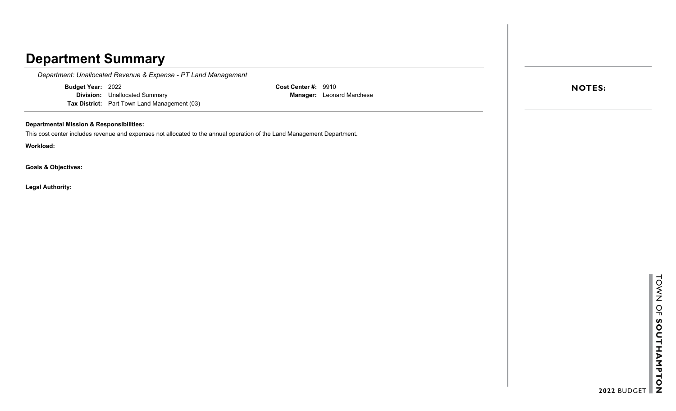*Department: Unallocated Revenue & Expense - PT Land Management*

**Budget Year:** 2022

**Division:** Unallocated Summary **Tax District:** Part Town Land Management (03) **Cost Center #:** 9910 **Manager:** Leonard Marchese

### **Departmental Mission & Responsibilities:**

This cost center includes revenue and expenses not allocated to the annual operation of the Land Management Department.

**Workload:**

**Goals & Objectives:**

**Legal Authority:**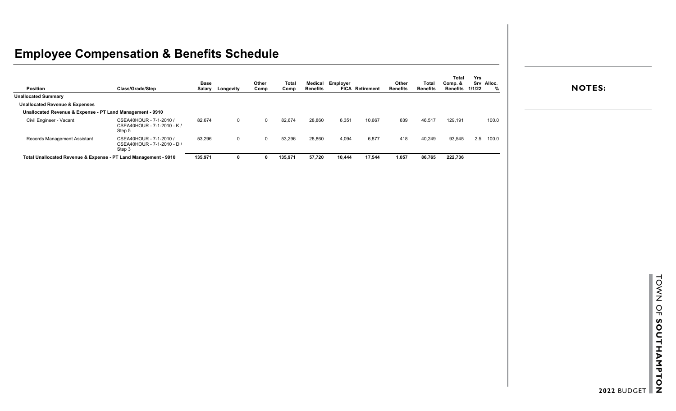# **Employee Compensation & Benefits Schedule**

| <b>Position</b>                                                 | Class/Grade/Step                                                 | Base<br>Salary | Longevity    | Other<br>Comp | <b>Total</b><br>Comp | Medical<br><b>Benefits</b> | Employer | <b>FICA Retirement</b> | Other<br><b>Benefits</b> | <b>Total</b><br><b>Benefits</b> | <b>Total</b><br>Comp. &<br><b>Benefits</b> | Yrs<br>1/1/22 | Srv Alloc. |
|-----------------------------------------------------------------|------------------------------------------------------------------|----------------|--------------|---------------|----------------------|----------------------------|----------|------------------------|--------------------------|---------------------------------|--------------------------------------------|---------------|------------|
| <b>Unallocated Summary</b>                                      |                                                                  |                |              |               |                      |                            |          |                        |                          |                                 |                                            |               |            |
| <b>Unallocated Revenue &amp; Expenses</b>                       |                                                                  |                |              |               |                      |                            |          |                        |                          |                                 |                                            |               |            |
| Unallocated Revenue & Expense - PT Land Management - 9910       |                                                                  |                |              |               |                      |                            |          |                        |                          |                                 |                                            |               |            |
| Civil Engineer - Vacant                                         | CSEA40HOUR - 7-1-2010 /<br>CSEA40HOUR - 7-1-2010 - K /<br>Step 5 | 82,674         | 0            | $\Omega$      | 82,674               | 28,860                     | 6,351    | 10,667                 | 639                      | 46,517                          | 129,191                                    |               | 100.0      |
| Records Management Assistant                                    | CSEA40HOUR - 7-1-2010 /<br>CSEA40HOUR - 7-1-2010 - D /<br>Step 3 | 53,296         | $\mathbf{0}$ |               | 53,296               | 28,860                     | 4,094    | 6,877                  | 418                      | 40,249                          | 93,545                                     | 2.5           | 100.0      |
| Total Unallocated Revenue & Expense - PT Land Management - 9910 |                                                                  | 135,971        |              |               | 135,971              | 57,720                     | 10,444   | 17,544                 | 1,057                    | 86,765                          | 222,736                                    |               |            |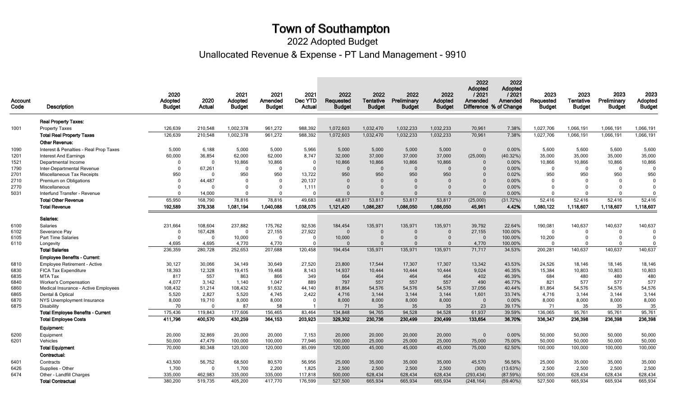Unallocated Revenue & Expense - PT Land Management - 9910 2022 Adopted Budget

Equipment: 6200 Equipment 20,000 32,869 20,000 20,000 7,153 20,000 20,000 20,000 20,000 0 0.00% 50,000 50,000 50,000 50,000 6201 Vehicles 50,000 47,479 100,000 100,000 77,946 100,000 25,000 25,000 25,000 75,000 75.00% 50,000 50,000 50,000 50,000  ${\sf Total}$   ${\sf Equi}$  , and the control of the control of the control of the control of the control of the control of the control of the control of the control of the control of the control of the control of the control of the co Contractual: 6401 Contracts 43,500 56,752 68,500 80,570 56,956 25,000 35,000 35,000 45,570 56.56% 25,000 35,000 35,000 35,000 6426 Supplies Other 1,700 0 1,700 2,200 1,825 2,500 2,500 2,500 2,500 2,500 2,500 2,500 2,500 2,500 2,500 6474 Other - Landfill Charges 335,000 462,983 335,000 335,000 117,818 500,000 628,434 628,434 628,434 (293,434) (87.59%) 500,000 628,434 628,434 628,434 **Total Contractual** 380,200 519,735 405,200 417,770 176,599 527,500 665,934 665,934 669,934 505,934 605,934 605,934 605,934 605,934 605,934 605,934 605,934 605,934 605,934 Real Property Taxes: 1001 Property Taxes 126,639 210,548 1,002,378 961,272 988,392 1,072,603 1,032,470 1,032,233 1,032,233 70,961 7.38% 1,027,706 1,066,191 1,066,191 1,066,191  $\bf{Total}$  Property Taxes 126,639 210,548 1,002,378 961,272 988,392 1,072,603 1,032,470 1,032,233 70,961 7.38% 1,027,706 1,066,191 1,066,191 1,066,191 Other Revenue: 1090 Interest & Penalties - Real Prop Taxes 5,000 6,188 5,000 5,000 5,966 5,000 5,000 5,000 5,000 5,000 5,000 5,000 5,600 5,600 5,600 5,600 5,600 1201 Interest And Earnings 60,000 36,854 62,000 62,000 8,747 32,000 37,000 37,000 37,000 (25,000) (40.32%) 35,000 35,000 35,000 35,000 35,000 35,000 1521 Departmental Income 0 0 10,866 10,866 0 10,866 10,866 10,866 10,866 0 0.00% 10,866 10,866 10,866 10,866 1790 Inter-Departmental Revenue 0 67,261 0 0 0 0 0 0 0 0 0.00% 0 0 0 0 2701 Miscellaneous Tax Receipts 950 0 950 950 13,722 950 950 950 950 0 0.02% 950 950 950 950 2710 Premium on Obligations 0 44,487 0 0 20,137 0 0 0 0 0 0.00% 0 0 0 0 2770 Miscellaneous 0 0 0 1,111 0 0 0 0 0 0 0.00% 0 0 0 0 5031 Interfund Transfer - Revenue 0 14,000 0 0 0 0 0 0 0 0 0.00% 0 0 0 0  $\textsf{Total Other Revenue} \quad \textcolor{red}{50,950} \quad \textcolor{red}{50,950} \quad \textcolor{red}{168,790} \quad \textcolor{red}{78,816} \quad \textcolor{red}{78,816} \quad \textcolor{red}{78,816} \quad \textcolor{red}{49,683} \quad \textcolor{red}{48,817} \quad \textcolor{red}{53,817} \quad \textcolor{red}{53,817} \quad \textcolor{red}{53,817} \quad \textcolor{red}{(25,000)} \quad \textcolor{red}{(31.72\%)} \quad \textcolor{red}{52,416$ Total Revenue 192,589 379,338 1,081,194 1,040,088 1,038,075 1,121,420 1,086,287 1,086,050 4,086,050 45,961 4.42% 1,080,122 1,118,607 1,118,607 1,118,607 Salaries: 6100 Salaries 231,664 108,604 237,882 175,762 92,536 184,454 135,971 135,971 135,971 39,792 22.64% 190,081 140,637 140,637 140,637 6102 Severance Pay 0 167,428 0 27,155 27,922 0 0 0 0 27,155 100.00% 0 0 0 0 6105 Part Time Salaries 0 0 10,000 0 0 10,000 0 0 0 0 100.00% 10,200 0 0 0 6110 Longevity 4,695 4,695 4,770 4,770 0 0 0 0 4,770 100.00% 0 0 0 **Total Salaries** 236,359 280,728 252,653 207,688 120,458 194,454 135,971 135,971 17,717 34.53% 200,281 140,637 140,637 140,637 Employee Benefits - Current: 6810 Employee Retirement - Active 30,127 30,066 34,149 30,649 27,520 23,800 17,544 17,307 17,307 13,342 43.53% 24,526 18,146 18,146 18,146 6830 FICA Tax Expenditure 18,393 12,328 19,415 19,468 8,143 14,937 10,444 10,444 10,444 9,024 46.35% 15,384 10,803 10,803 10,803 6835 MTA Tax 817 557 863 866 349 664 464 464 464 402 46.39% 684 480 480 480 6840 Worker's Compensation 4,077 3,142 1,140 1,047 889 797 557 557 490 46.77% 821 577 577 577 6860 Medical Insurance - Active Employees 108,432 51,214 108,432 91,632 44,140 81,864 54,576 54,576 54,576 37,056 40.44% 81,864 54,576 54,576 54,576 6865 Dental & Optical 5,520 2,827 5,520 4,745 2,422 4,716 3,144 3,144 3,144 1,601 33.74% 4,716 3,144 3,144 3,144 6870 NYS Unemployment Insurance 8,000 19,710 8,000 8,000 0 8,000 8,000 8,000 8,000 0 0.00% 8,000 8,000 8,000 8,000 6875 Disability 70 0 87 58 1 71 35 35 35 23 39.17% 71 35 35 35 Total Employee Benefits - Current 175,436 119,843 177,606 156,465 83,464 134,848 94,765 94,528 94,528 61,937 39.59% 136,065 95,761 95,761 95,761 Total Employee Costs 411,796 400,570 430,259 364,153 203,923 230,302 230,499 230,499 133,654 36.70% 336,347 236,398 236,398 236,398 2020 Adopted Budget 2021 Adopted Budget 2021 Amended Budget 2023 **Tentative** Budget **Account** Code 2020 Actual 2021 Dec YTD Actual 2022 Adopted **Budget** 2022 Adopted / 2021 Amended Difference % of Change 2022 **Preliminary** Description Budget 2022 Requested **Budget** 2022 Adopted / 2021 Amended 2023 Adopted **Budget** 2023 **Preliminary** Budget 2022 **Tentative Budget** 2023 **Requested Budget**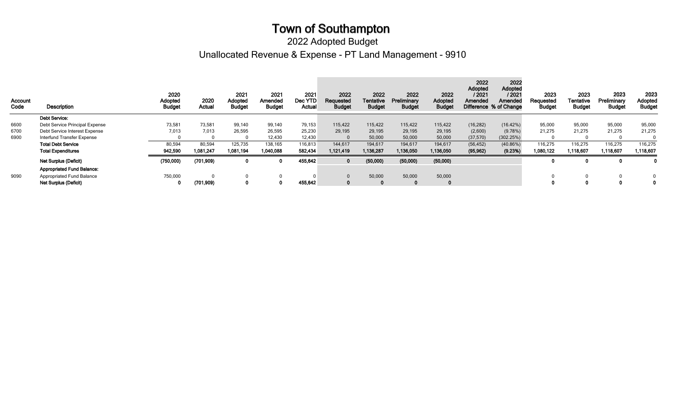Unallocated Revenue & Expense - PT Land Management - 9910 2022 Adopted Budget

| Account<br>Code | <b>Description</b>                | 2020<br>Adopted<br><b>Budget</b> | 2020<br>Actual | 2021<br>Adopted<br><b>Budget</b> | 2021<br>Amended<br><b>Budget</b> | 2021<br>Dec YTD<br>Actual | 2022<br>Requested<br><b>Budget</b> | 2022<br>Tentative<br><b>Budget</b> | 2022<br>Preliminary<br><b>Budget</b> | 2022<br>Adopted<br><b>Budget</b> | 2022<br>Adopted<br>/ 2021<br>Amended | 2022<br><b>Adopted</b><br>/ 2021<br>Amended<br>Difference % of Change | 2023<br>Requested<br>Budget | 2023<br>Tentative<br><b>Budget</b> | 2023<br>Preliminary<br><b>Budget</b> | 2023<br>Adopted<br><b>Budget</b> |
|-----------------|-----------------------------------|----------------------------------|----------------|----------------------------------|----------------------------------|---------------------------|------------------------------------|------------------------------------|--------------------------------------|----------------------------------|--------------------------------------|-----------------------------------------------------------------------|-----------------------------|------------------------------------|--------------------------------------|----------------------------------|
|                 | <b>Debt Service:</b>              |                                  |                |                                  |                                  |                           |                                    |                                    |                                      |                                  |                                      |                                                                       |                             |                                    |                                      |                                  |
| 6600            | Debt Service Principal Expense    | 73,581                           | 73,581         | 99,140                           | 99,140                           | 79,153                    | 115,422                            | 115,422                            | 115,422                              | 115,422                          | (16, 282)                            | (16.42%)                                                              | 95,000                      | 95,000                             | 95,000                               | 95,000                           |
| 6700            | Debt Service Interest Expense     | 7,013                            | 7.013          | 26,595                           | 26,595                           | 25,230                    | 29,195                             | 29,195                             | 29,195                               | 29,195                           | (2,600)                              | (9.78%)                                                               | 21,275                      | 21,275                             | 21,275                               | 21,275                           |
| 6900            | Interfund Transfer Expense        |                                  |                |                                  | 12,430                           | 12,430                    |                                    | 50,000                             | 50,000                               | 50,000                           | (37, 570)                            | (302.25%)                                                             |                             |                                    | $\Omega$                             |                                  |
|                 | <b>Total Debt Service</b>         | 80,594                           | 80,594         | 125,735                          | 138,165                          | 116,813                   | 144,617                            | 194,617                            | 194,617                              | 194,617                          | (56, 452)                            | (40.86%)                                                              | 116,275                     | 116,275                            | 116,275                              | 116,275                          |
|                 | <b>Total Expenditures</b>         | 942,590                          | 1,081,247      | 1,081,194                        | 1,040,088                        | 582,434                   | 1,121,419                          | 1,136,287                          | 1,136,050                            | 1,136,050                        | (95, 962)                            | (9.23%)                                                               | 1,080,122                   | 1,118,607                          | 1,118,607                            | 1,118,607                        |
|                 | <b>Net Surplus (Deficit)</b>      | (750,000)                        | (701, 909)     |                                  |                                  | 455,642                   | $\mathbf{0}$                       | (50,000)                           | (50,000)                             | (50,000)                         |                                      |                                                                       |                             | 0                                  |                                      |                                  |
|                 | <b>Appropriated Fund Balance:</b> |                                  |                |                                  |                                  |                           |                                    |                                    |                                      |                                  |                                      |                                                                       |                             |                                    |                                      |                                  |
| 9090            | Appropriated Fund Balance         | 750,000                          |                |                                  |                                  |                           |                                    | 50,000                             | 50,000                               | 50,000                           |                                      |                                                                       |                             |                                    | $\Omega$                             |                                  |
|                 | <b>Net Surplus (Deficit)</b>      | 0                                | (701, 909)     |                                  |                                  | 455,642                   |                                    |                                    |                                      |                                  |                                      |                                                                       |                             | 0                                  |                                      |                                  |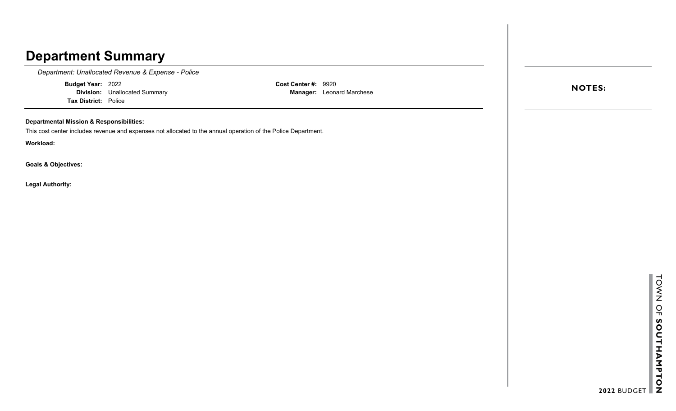*Department: Unallocated Revenue & Expense - Police*

**Budget Year:** 2022 **Division:** Unallocated Summary **Tax District:** Police

**Cost Center #:** 9920 **Manager:** Leonard Marchese

### **Departmental Mission & Responsibilities:**

This cost center includes revenue and expenses not allocated to the annual operation of the Police Department.

**Workload:**

**Goals & Objectives:**

**Legal Authority:**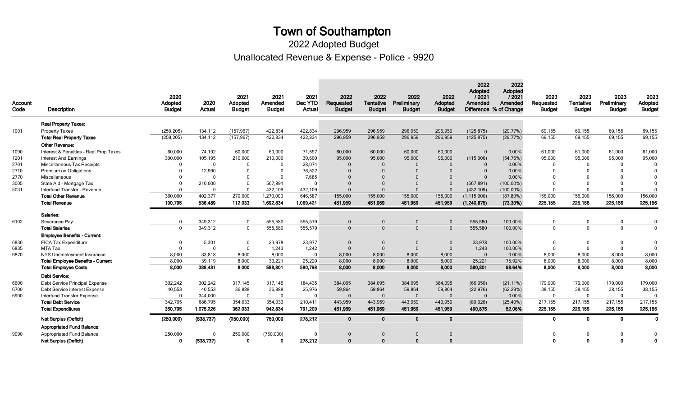Unallocated Revenue & Expense - Police - 9920 2022 Adopted Budget

| Account<br>Code | Description                              | 2020<br>Adopted<br><b>Budget</b> | 2020<br>Actual | 2021<br>Adopted<br><b>Budget</b> | 2021<br>Amended<br><b>Budget</b> | 2021<br>Dec YTD<br>Actual | 2022<br>Requested<br><b>Budget</b> | 2022<br>Tentative<br><b>Budget</b> | 2022<br>Preliminary<br><b>Budget</b> | 2022<br>Adopted<br><b>Budget</b> | 2022<br>Adopted<br>12021<br>Amended | 2022<br>Adopted<br>12021<br>Amended<br>Difference % of Change | 2023<br>Requested<br><b>Budget</b> | 2023<br><b>Tentative</b><br><b>Budget</b> | 2023<br>Preliminary<br><b>Budget</b> | 2023<br>Adopted<br><b>Budget</b> |
|-----------------|------------------------------------------|----------------------------------|----------------|----------------------------------|----------------------------------|---------------------------|------------------------------------|------------------------------------|--------------------------------------|----------------------------------|-------------------------------------|---------------------------------------------------------------|------------------------------------|-------------------------------------------|--------------------------------------|----------------------------------|
|                 | <b>Real Property Taxes:</b>              |                                  |                |                                  |                                  |                           |                                    |                                    |                                      |                                  |                                     |                                                               |                                    |                                           |                                      |                                  |
| 1001            | <b>Property Taxes</b>                    | (259, 205)                       | 134,112        | (157, 967)                       | 422,834                          | 422,834                   | 296,959                            | 296,959                            | 296,959                              | 296,959                          | (125, 875)                          | (29.77%)                                                      | 69,155                             | 69,155                                    | 69,155                               | 69,155                           |
|                 | <b>Total Real Property Taxes</b>         | (259, 205)                       | 134,112        | (157, 967)                       | 422,834                          | 422,834                   | 296,959                            | 296,959                            | 296,959                              | 296,959                          | (125, 875)                          | (29.77%)                                                      | 69,155                             | 69,155                                    | 69,155                               | 69,155                           |
|                 | <b>Other Revenue:</b>                    |                                  |                |                                  |                                  |                           |                                    |                                    |                                      |                                  |                                     |                                                               |                                    |                                           |                                      |                                  |
| 1090            | Interest & Penalties - Real Prop Taxes   | 60,000                           | 74,192         | 60,000                           | 60.000                           | 71,597                    | 60,000                             | 60,000                             | 60,000                               | 60,000                           | $\overline{0}$                      | 0.00%                                                         | 61,000                             | 61,000                                    | 61,000                               | 61,000                           |
| 1201            | <b>Interest And Earnings</b>             | 300,000                          | 105,195        | 210,000                          | 210,000                          | 30,600                    | 95,000                             | 95,000                             | 95,000                               | 95,000                           | (115,000)                           | (54.76%)                                                      | 95,000                             | 95,000                                    | 95,000                               | 95,000                           |
| 2701            | Miscellaneous Tax Receipts               | $\Omega$                         | $\mathbf{0}$   | $\Omega$                         | $\Omega$                         | 28,074                    | $\Omega$                           | $\Omega$                           | $\Omega$                             | $\Omega$                         |                                     | 0.00%                                                         | $\Omega$                           | $\Omega$                                  | $\Omega$                             | $\Omega$                         |
| 2710            | Premium on Obligations                   |                                  | 12,990         | $\Omega$                         | $\overline{0}$                   | 76,522                    | $\Omega$                           |                                    | $\Omega$                             | $\Omega$                         | $\Omega$                            | 0.00%                                                         | $\Omega$                           | $\Omega$                                  | $\Omega$                             | $\Omega$                         |
| 2770            | Miscellaneous                            |                                  | $\Omega$       | $\Omega$                         | $\Omega$                         | 7,685                     | $\Omega$                           |                                    |                                      | $\Omega$                         | $\Omega$                            | 0.00%                                                         |                                    |                                           |                                      |                                  |
| 3005            | State Aid - Mortgage Tax                 | $\Omega$                         | 210,000        | $\Omega$                         | 567,891                          | $\Omega$                  | $\Omega$                           |                                    | $\Omega$                             | $\Omega$                         | (567, 891)                          | $(100.00\%)$                                                  | $\Omega$                           | $\Omega$                                  | $\Omega$                             | $\Omega$                         |
| 5031            | Interfund Transfer - Revenue             | $\Omega$                         | $\Omega$       | $\Omega$                         | 432,109                          | 432,109                   | $\Omega$                           |                                    | $\Omega$                             | $\Omega$                         | (432, 109)                          | $(100.00\%)$                                                  | $\Omega$                           | $\Omega$                                  | $\Omega$                             | $\Omega$                         |
|                 | <b>Total Other Revenue</b>               | 360.000                          | 402.377        | 270,000                          | 1,270,000                        | 646,587                   | 155,000                            | 155,000                            | 155,000                              | 155,000                          | (1, 115, 000)                       | $(87.80\%)$                                                   | 156,000                            | 156,000                                   | 156,000                              | 156,000                          |
|                 | <b>Total Revenue</b>                     | 100,795                          | 536,489        | 112,033                          | 1,692,834                        | 1,069,421                 | 451,959                            | 451,959                            | 451,959                              | 451.959                          | (1, 240, 875)                       | (73.30%)                                                      | 225,155                            | 225,156                                   | 225,156                              | 225,156                          |
|                 | Salaries:                                |                                  |                |                                  |                                  |                           |                                    |                                    |                                      |                                  |                                     |                                                               |                                    |                                           |                                      |                                  |
| 6102            | Severance Pav                            | $\mathbf{0}$                     | 349.312        | $\Omega$                         | 555.580                          | 555,579                   | $\Omega$                           | $\Omega$                           | $\Omega$                             | $\overline{0}$                   | 555,580                             | 100.00%                                                       | $\Omega$                           | $\mathbf{0}$                              | 0                                    | $\Omega$                         |
|                 | <b>Total Salaries</b>                    | $\Omega$                         | 349,312        | $\mathbf{0}$                     | 555,580                          | 555,579                   | $\Omega$                           | $\Omega$                           | $\Omega$                             | $\overline{0}$                   | 555,580                             | 100.00%                                                       | $\Omega$                           | $\Omega$                                  | $\overline{0}$                       | $\Omega$                         |
|                 | <b>Employee Benefits - Current:</b>      |                                  |                |                                  |                                  |                           |                                    |                                    |                                      |                                  |                                     |                                                               |                                    |                                           |                                      |                                  |
| 6830            | <b>FICA Tax Expenditure</b>              | $\Omega$                         | 5,301          | $\mathbf{0}$                     | 23,978                           | 23,977                    | $\Omega$                           | $\mathbf{0}$                       | $\mathbf{0}$                         | $\Omega$                         | 23,978                              | 100.00%                                                       | $\Omega$                           | $\mathbf 0$                               | $\mathbf 0$                          | $\Omega$                         |
| 6835            | MTA Tax                                  | $\Omega$                         | $\Omega$       | $\mathbf 0$                      | 1,243                            | 1,242                     | $\Omega$                           | $\Omega$                           | $\Omega$                             | $\overline{0}$                   | 1,243                               | 100.00%                                                       | $\Omega$                           | $\mathbf 0$                               | $\mathbf 0$                          | $\Omega$                         |
| 6870            | NYS Unemployment Insurance               | 8,000                            | 33.818         | 8.000                            | 8.000                            | $\Omega$                  | 8,000                              | 8,000                              | 8,000                                | 8.000                            | $\overline{0}$                      | 0.00%                                                         | 8,000                              | 8,000                                     | 8,000                                | 8,000                            |
|                 | <b>Total Employee Benefits - Current</b> | 8,000                            | 39,119         | 8,000                            | 33,221                           | 25,220                    | 8,000                              | 8,000                              | 8,000                                | 8.000                            | 25,221                              | 75.92%                                                        | 8,000                              | 8,000                                     | 8,000                                | 8,000                            |
|                 | <b>Total Employee Costs</b>              | 8.000                            | 388,431        | 8.000                            | 588.801                          | 580,798                   | 8.000                              | 8.000                              | 8.000                                | 8.000                            | 580,801                             | 98.64%                                                        | 8.000                              | 8.000                                     | 8.000                                | 8,000                            |
|                 | Debt Service:                            |                                  |                |                                  |                                  |                           |                                    |                                    |                                      |                                  |                                     |                                                               |                                    |                                           |                                      |                                  |
| 6600            | Debt Service Principal Expense           | 302,242                          | 302,242        | 317.145                          | 317.145                          | 184,435                   | 384,095                            | 384,095                            | 384,095                              | 384,095                          | (66, 950)                           | $(21.11\%)$                                                   | 179,000                            | 179.000                                   | 179.000                              | 179,000                          |
| 6700            | Debt Service Interest Expense            | 40,553                           | 40,553         | 36,888                           | 36,888                           | 25,976                    | 59,864                             | 59,864                             | 59,864                               | 59,864                           | (22, 976)                           | (62.29%)                                                      | 38,155                             | 38,155                                    | 38,155                               | 38,155                           |
| 6900            | Interfund Transfer Expense               | $\Omega$                         | 344,000        | $\mathbf{0}$                     | $\Omega$                         | $\Omega$                  | $\Omega$                           | $\Omega$                           | $\mathbf{0}$                         | $\overline{0}$                   | $\Omega$                            | 0.00%                                                         | $\Omega$                           | $\mathbf{0}$                              | $\mathbf 0$                          | $\Omega$                         |
|                 | <b>Total Debt Service</b>                | 342,795                          | 686,795        | 354,033                          | 354,033                          | 210,411                   | 443,959                            | 443,959                            | 443,959                              | 443,959                          | (89, 926)                           | $(25.40\%)$                                                   | 217,155                            | 217,155                                   | 217,155                              | 217,155                          |
|                 | <b>Total Expenditures</b>                | 350,795                          | 1,075,226      | 362,033                          | 942.834                          | 791,209                   | 451,959                            | 451,959                            | 451,959                              | 451,959                          | 490,875                             | 52.06%                                                        | 225,155                            | 225,155                                   | 225,155                              | 225,155                          |
|                 | <b>Net Surplus (Deficit)</b>             | (250,000)                        | (538, 737)     | (250,000)                        | 750,000                          | 278,212                   | 0                                  | $\mathbf{0}$                       | $\mathbf{0}$                         | $\mathbf{0}$                     |                                     |                                                               | $\Omega$                           | $\mathbf{0}$                              | $\mathbf 0$                          | 0                                |
|                 | <b>Appropriated Fund Balance:</b>        |                                  |                |                                  |                                  |                           |                                    |                                    |                                      |                                  |                                     |                                                               |                                    |                                           |                                      |                                  |
| 9090            | <b>Appropriated Fund Balance</b>         | 250.000                          | $\Omega$       | 250,000                          | (750,000)                        |                           | $\Omega$                           |                                    | $\Omega$                             | $\Omega$                         |                                     |                                                               |                                    | $\Omega$                                  | $\Omega$                             |                                  |
|                 | <b>Net Surplus (Deficit)</b>             | $\Omega$                         | (538, 737)     | $\Omega$                         | $\Omega$                         | 278,212                   | $\Omega$                           | $\Omega$                           | $\Omega$                             | $\Omega$                         |                                     |                                                               | $\Omega$                           | $\Omega$                                  | $\Omega$                             | $\Omega$                         |
|                 |                                          |                                  |                |                                  |                                  |                           |                                    |                                    |                                      |                                  |                                     |                                                               |                                    |                                           |                                      |                                  |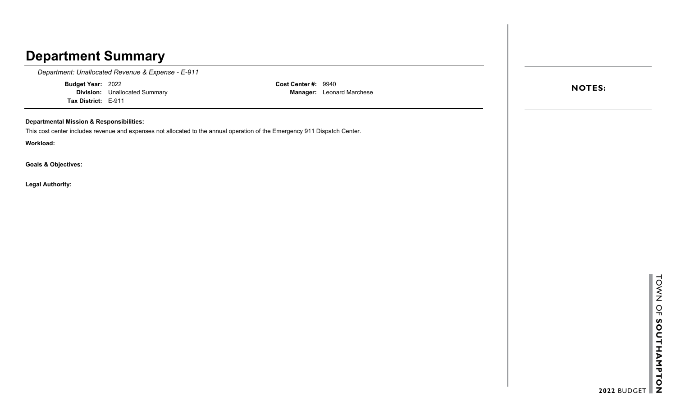*Department: Unallocated Revenue & Expense - E-911*

**Budget Year:** 2022 **Division:** Unallocated Summary **Tax District:** E-911

**Cost Center #:** 9940 **Manager:** Leonard Marchese

### **Departmental Mission & Responsibilities:**

This cost center includes revenue and expenses not allocated to the annual operation of the Emergency 911 Dispatch Center.

**Workload:**

**Goals & Objectives:**

**Legal Authority:**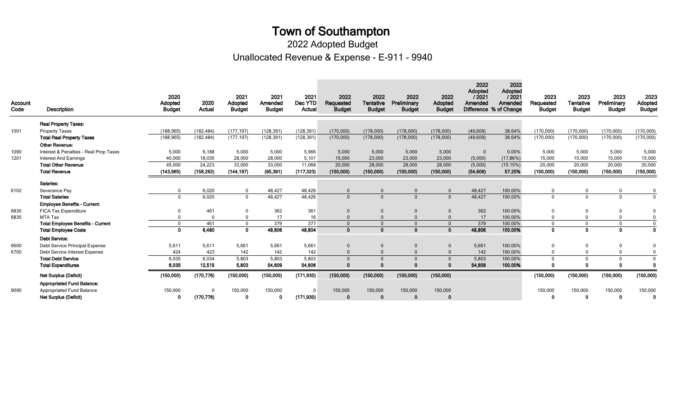Unallocated Revenue & Expense - E-911 - 9940 2022 Adopted Budget

| Account<br>Code | <b>Description</b>                       | 2020<br>Adopted<br><b>Budget</b> | 2020<br>Actual | 2021<br>Adopted<br><b>Budget</b> | 2021<br>Amended<br><b>Budget</b> | 2021<br>Dec YTD<br>Actual | 2022<br>Requested<br><b>Budget</b> | 2022<br><b>Tentative</b><br><b>Budget</b> | 2022<br>Preliminary<br><b>Budget</b> | 2022<br>Adopted<br><b>Budget</b> | 2022<br>Adopted<br>/2021<br>Amended | 2022<br>Adopted<br>12021<br>Amended<br>Difference % of Change | 2023<br>Requested<br><b>Budget</b> | 2023<br><b>Tentative</b><br><b>Budget</b> | 2023<br>Preliminary<br><b>Budget</b> | 2023<br>Adopted<br><b>Budget</b> |
|-----------------|------------------------------------------|----------------------------------|----------------|----------------------------------|----------------------------------|---------------------------|------------------------------------|-------------------------------------------|--------------------------------------|----------------------------------|-------------------------------------|---------------------------------------------------------------|------------------------------------|-------------------------------------------|--------------------------------------|----------------------------------|
|                 | <b>Real Property Taxes:</b>              |                                  |                |                                  |                                  |                           |                                    |                                           |                                      |                                  |                                     |                                                               |                                    |                                           |                                      |                                  |
| 1001            | Property Taxes                           | (188, 965)                       | (182, 484)     | (177, 197)                       | (128, 391)                       | (128, 391)                | (170,000)                          | (178,000)                                 | (178,000)                            | (178,000)                        | (49,609)                            | 38.64%                                                        | (170,000)                          | (170,000)                                 | (170,000)                            | (170,000)                        |
|                 | <b>Total Real Property Taxes</b>         | (188, 965)                       | (182, 484)     | (177, 197)                       | (128, 391)                       | (128, 391)                | (170,000)                          | (178,000)                                 | (178,000)                            | (178,000)                        | (49,609)                            | 38.64%                                                        | (170,000)                          | (170,000)                                 | (170,000)                            | (170,000)                        |
|                 | Other Revenue:                           |                                  |                |                                  |                                  |                           |                                    |                                           |                                      |                                  |                                     |                                                               |                                    |                                           |                                      |                                  |
| 1090            | Interest & Penalties - Real Prop Taxes   | 5,000                            | 6,188          | 5,000                            | 5,000                            | 5,966                     | 5,000                              | 5,000                                     | 5,000                                | 5,000                            | $\Omega$                            | 0.00%                                                         | 5,000                              | 5,000                                     | 5,000                                | 5,000                            |
| 1201            | <b>Interest And Earnings</b>             | 40,000                           | 18,035         | 28,000                           | 28,000                           | 5,101                     | 15,000                             | 23,000                                    | 23,000                               | 23,000                           | (5,000)                             | (17.86%)                                                      | 15,000                             | 15,000                                    | 15,000                               | 15,000                           |
|                 | <b>Total Other Revenue</b>               | 45,000                           | 24,223         | 33,000                           | 33,000                           | 11,068                    | 20,000                             | 28,000                                    | 28,000                               | 28,000                           | (5,000)                             | (15.15%)                                                      | 20,000                             | 20,000                                    | 20,000                               | 20,000                           |
|                 | <b>Total Revenue</b>                     | (143, 965)                       | (158, 262)     | (144, 197)                       | (95, 391)                        | (117, 323)                | (150.000)                          | (150,000)                                 | (150.000)                            | (150,000)                        | (54, 609)                           | 57.25%                                                        | (150,000)                          | (150,000)                                 | (150,000)                            | (150,000)                        |
|                 | Salaries:                                |                                  |                |                                  |                                  |                           |                                    |                                           |                                      |                                  |                                     |                                                               |                                    |                                           |                                      |                                  |
| 6102            | Severance Pav                            |                                  | 6.020          | $\mathbf{0}$                     | 48,427                           | 48,426                    | $\Omega$                           | $\Omega$                                  |                                      | $\Omega$                         | 48,427                              | 100.00%                                                       | $\Omega$                           |                                           | $\Omega$                             | $\Omega$                         |
|                 | <b>Total Salaries</b>                    | $\Omega$                         | 6,020          | $\Omega$                         | 48,427                           | 48,426                    | $\Omega$                           | $\Omega$                                  | $\Omega$                             | $\Omega$                         | 48,427                              | 100.00%                                                       | $\Omega$                           | $\Omega$                                  | $\mathbf{0}$                         | $\Omega$                         |
|                 | <b>Employee Benefits - Current:</b>      |                                  |                |                                  |                                  |                           |                                    |                                           |                                      |                                  |                                     |                                                               |                                    |                                           |                                      |                                  |
| 6830            | <b>FICA Tax Expenditure</b>              |                                  | 461            | $\Omega$                         | 362                              | 361                       |                                    |                                           |                                      | $\Omega$                         | 362                                 | 100.00%                                                       | $\Omega$                           |                                           | $\Omega$                             |                                  |
| 6835            | MTA Tax                                  |                                  |                | $\Omega$                         | 17                               | 16                        |                                    |                                           |                                      | $\Omega$                         | 17                                  | 100.00%                                                       | $\Omega$                           |                                           | $\Omega$                             | $\Omega$                         |
|                 | <b>Total Employee Benefits - Current</b> | $\Omega$                         | 461            | $\Omega$                         | 379                              | 377                       | $\Omega$                           | $\Omega$                                  | $\Omega$                             | $\Omega$                         | 379                                 | 100.00%                                                       | $\overline{0}$                     | $\Omega$                                  | $\Omega$                             | $\Omega$                         |
|                 | <b>Total Employee Costs</b>              | $\Omega$                         | 6,480          | $\Omega$                         | 48,806                           | 48,804                    | $\Omega$                           | $\Omega$                                  |                                      | $\Omega$                         | 48,806                              | 100.00%                                                       | $\Omega$                           | $\Omega$                                  | $\mathbf{0}$                         | $\Omega$                         |
|                 | <b>Debt Service:</b>                     |                                  |                |                                  |                                  |                           |                                    |                                           |                                      |                                  |                                     |                                                               |                                    |                                           |                                      |                                  |
| 6600            | Debt Service Principal Expense           | 5,611                            | 5,611          | 5,661                            | 5,661                            | 5,661                     | $\Omega$                           |                                           |                                      | $\Omega$                         | 5,661                               | 100.00%                                                       | $\overline{0}$                     |                                           | 0                                    | $\Omega$                         |
| 6700            | Debt Service Interest Expense            | 424                              | 423            | 142                              | 142                              | 142                       | $\Omega$                           | $\Omega$                                  |                                      | $\theta$                         | 142                                 | 100.00%                                                       | $\Omega$                           |                                           | $\mathbf{0}$                         | $\Omega$                         |
|                 | <b>Total Debt Service</b>                | 6,035                            | 6,034          | 5,803                            | 5,803                            | 5,803                     |                                    |                                           |                                      | $\Omega$                         | 5,803                               | 100.00%                                                       | $\Omega$                           |                                           | $\Omega$                             | $\Omega$                         |
|                 | <b>Total Expenditures</b>                | 6,035                            | 12,515         | 5,803                            | 54,609                           | 54,606                    | ∩                                  |                                           |                                      |                                  | 54,609                              | 100.00%                                                       |                                    |                                           |                                      | O                                |
|                 | <b>Net Surplus (Deficit)</b>             | (150,000)                        | (170, 776)     | (150,000)                        | (150,000)                        | (171, 930)                | (150,000)                          | (150,000)                                 | (150,000)                            | (150,000)                        |                                     |                                                               | (150,000)                          | (150,000)                                 | (150,000)                            | (150,000)                        |
|                 | <b>Appropriated Fund Balance:</b>        |                                  |                |                                  |                                  |                           |                                    |                                           |                                      |                                  |                                     |                                                               |                                    |                                           |                                      |                                  |
| 9090            | <b>Appropriated Fund Balance</b>         | 150,000                          | $\Omega$       | 150,000                          | 150,000                          | $\Omega$                  | 150,000                            | 150,000                                   | 150,000                              | 150,000                          |                                     |                                                               | 150,000                            | 150,000                                   | 150,000                              | 150,000                          |
|                 | <b>Net Surplus (Deficit)</b>             | Ω                                | (170, 776)     | 0                                | n                                | (171, 930)                | $\mathbf 0$                        | $\Omega$                                  | $\Omega$                             | $\sqrt{ }$                       |                                     |                                                               | - 0                                | $\Omega$                                  | $\Omega$                             | $\Omega$                         |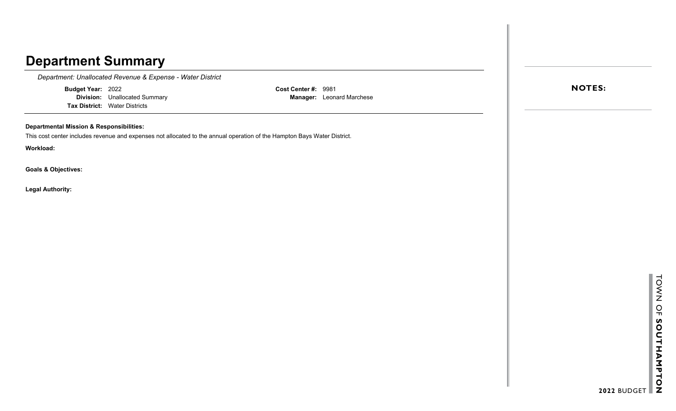*Department: Unallocated Revenue & Expense - Water District*

**Budget Year:** 2022

**Division:** Unallocated Summary **Tax District:** Water Districts

**Cost Center #:** 9981 **Manager:** Leonard Marchese

#### **Departmental Mission & Responsibilities:**

This cost center includes revenue and expenses not allocated to the annual operation of the Hampton Bays Water District.

**Workload:**

**Goals & Objectives:**

**Legal Authority:**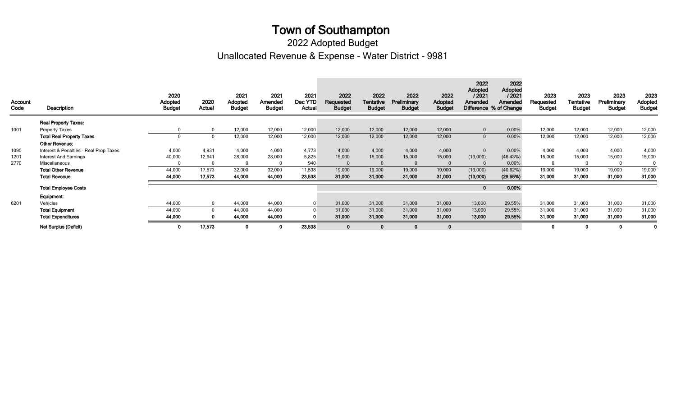Unallocated Revenue & Expense - Water District - 9981 2022 Adopted Budget

| Account<br>Code | Description                            | 2020<br>Adopted<br>Budget | 2020<br>Actual | 2021<br>Adopted<br><b>Budget</b> | 2021<br>Amended<br><b>Budget</b> | 2021<br>Dec YTD<br>Actual | 2022<br>Requested<br><b>Budget</b> | 2022<br><b>Tentative</b><br><b>Budget</b> | 2022<br>Preliminary<br><b>Budget</b> | 2022<br>Adopted<br><b>Budget</b> | 2022<br>Adopted<br>12021<br>Amended | 2022<br><b>Adopted</b><br>12021<br>Amended<br>Difference % of Change | 2023<br>Requested<br><b>Budget</b> | 2023<br>Tentative<br><b>Budget</b> | 2023<br>Preliminary<br><b>Budget</b> | 2023<br>Adopted<br><b>Budget</b> |
|-----------------|----------------------------------------|---------------------------|----------------|----------------------------------|----------------------------------|---------------------------|------------------------------------|-------------------------------------------|--------------------------------------|----------------------------------|-------------------------------------|----------------------------------------------------------------------|------------------------------------|------------------------------------|--------------------------------------|----------------------------------|
|                 | <b>Real Property Taxes:</b>            |                           |                |                                  |                                  |                           |                                    |                                           |                                      |                                  |                                     |                                                                      |                                    |                                    |                                      |                                  |
| 1001            | <b>Property Taxes</b>                  |                           | $\Omega$       | 12,000                           | 12,000                           | 12,000                    | 12,000                             | 12,000                                    | 12,000                               | 12,000                           | $\overline{0}$                      | 0.00%                                                                | 12,000                             | 12,000                             | 12,000                               | 12,000                           |
|                 | <b>Total Real Property Taxes</b>       |                           |                | 12,000                           | 12,000                           | 12,000                    | 12,000                             | 12,000                                    | 12,000                               | 12,000                           | $\Omega$                            | 0.00%                                                                | 12,000                             | 12,000                             | 12,000                               | 12,000                           |
|                 | Other Revenue:                         |                           |                |                                  |                                  |                           |                                    |                                           |                                      |                                  |                                     |                                                                      |                                    |                                    |                                      |                                  |
| 1090            | Interest & Penalties - Real Prop Taxes | 4,000                     | 4,931          | 4,000                            | 4,000                            | 4,773                     | 4,000                              | 4,000                                     | 4,000                                | 4,000                            | $\Omega$                            | 0.00%                                                                | 4,000                              | 4,000                              | 4,000                                | 4,000                            |
| 1201            | <b>Interest And Earnings</b>           | 40,000                    | 12,641         | 28,000                           | 28,000                           | 5,825                     | 15,000                             | 15,000                                    | 15,000                               | 15,000                           | (13,000)                            | (46.43%)                                                             | 15,000                             | 15,000                             | 15,000                               | 15,000                           |
| 2770            | Miscellaneous                          |                           |                | $\Omega$                         |                                  | 940                       |                                    |                                           |                                      | $\Omega$                         |                                     | 0.00%                                                                |                                    | $\Omega$                           | $\mathbf 0$                          |                                  |
|                 | <b>Total Other Revenue</b>             | 44,000                    | 17,573         | 32,000                           | 32,000                           | 11,538                    | 19,000                             | 19,000                                    | 19,000                               | 19,000                           | (13,000)                            | (40.62%)                                                             | 19,000                             | 19,000                             | 19,000                               | 19,000                           |
|                 | <b>Total Revenue</b>                   | 44,000                    | 17,573         | 44,000                           | 44,000                           | 23,538                    | 31,000                             | 31,000                                    | 31,000                               | 31,000                           | (13,000)                            | (29.55%)                                                             | 31,000                             | 31,000                             | 31,000                               | 31,000                           |
|                 | <b>Total Employee Costs</b>            |                           |                |                                  |                                  |                           |                                    |                                           |                                      |                                  | $\mathbf{0}$                        | 0.00%                                                                |                                    |                                    |                                      |                                  |
|                 | Equipment:                             |                           |                |                                  |                                  |                           |                                    |                                           |                                      |                                  |                                     |                                                                      |                                    |                                    |                                      |                                  |
| 6201            | Vehicles                               | 44,000                    | $\Omega$       | 44,000                           | 44,000                           | $\Omega$                  | 31,000                             | 31,000                                    | 31,000                               | 31,000                           | 13,000                              | 29.55%                                                               | 31,000                             | 31,000                             | 31,000                               | 31,000                           |
|                 | <b>Total Equipment</b>                 | 44,000                    |                | 44,000                           | 44,000                           | $\Omega$                  | 31,000                             | 31,000                                    | 31,000                               | 31,000                           | 13,000                              | 29.55%                                                               | 31,000                             | 31,000                             | 31,000                               | 31,000                           |
|                 | <b>Total Expenditures</b>              | 44,000                    |                | 44,000                           | 44,000                           | $\Omega$                  | 31,000                             | 31,000                                    | 31,000                               | 31,000                           | 13,000                              | 29.55%                                                               | 31,000                             | 31,000                             | 31,000                               | 31,000                           |
|                 | <b>Net Surplus (Deficit)</b>           |                           | 17,573         | 0                                |                                  | 23,538                    |                                    |                                           | $\Omega$                             | $\mathbf{0}$                     |                                     |                                                                      | $\Omega$                           | 0                                  | 0                                    |                                  |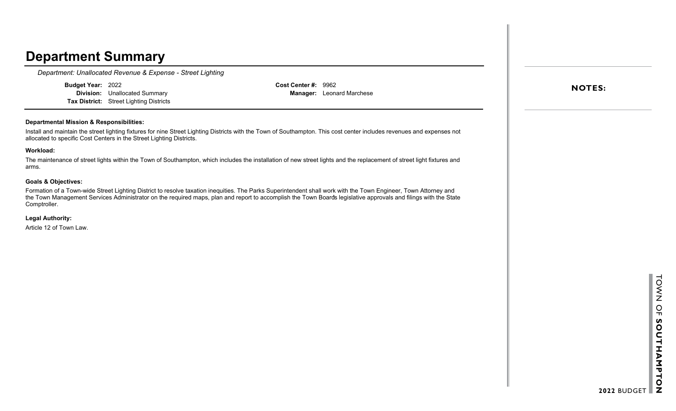*Department: Unallocated Revenue & Expense - Street Lighting*

**Budget Year:** 2022 **Division:** Unallocated Summary **Tax District:** Street Lighting Districts **Cost Center #:** 9962 **Manager:** Leonard Marchese

#### **Departmental Mission & Responsibilities:**

Install and maintain the street lighting fixtures for nine Street Lighting Districts with the Town of Southampton. This cost center includes revenues and expenses not allocated to specific Cost Centers in the Street Lighting Districts.

#### **Workload:**

The maintenance of street lights within the Town of Southampton, which includes the installation of new street lights and the replacement of street light fixtures and arms.

#### **Goals & Objectives:**

Formation of a Town-wide Street Lighting District to resolve taxation inequities. The Parks Superintendent shall work with the Town Engineer, Town Attorney and the Town Management Services Administrator on the required maps, plan and report to accomplish the Town Boards legislative approvals and filings with the State Comptroller.

**Legal Authority:**

Article 12 of Town Law.